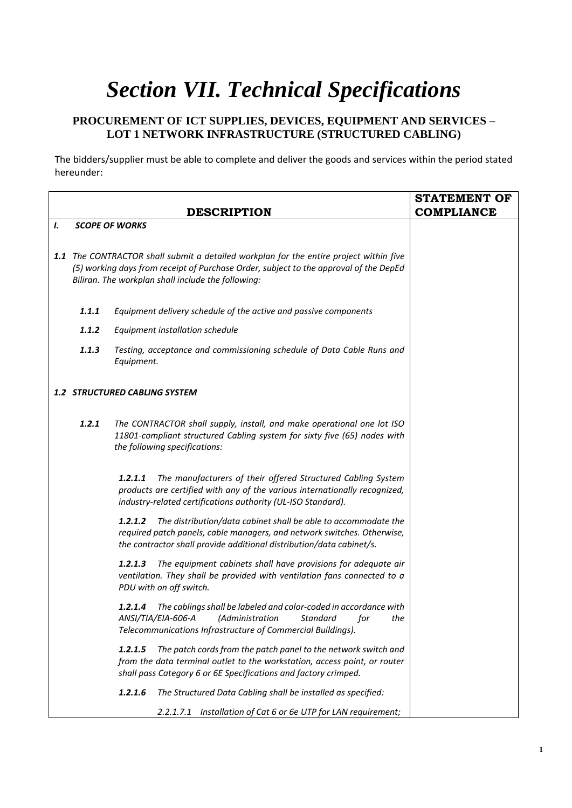## *Section VII. Technical Specifications*

## **PROCUREMENT OF ICT SUPPLIES, DEVICES, EQUIPMENT AND SERVICES – LOT 1 NETWORK INFRASTRUCTURE (STRUCTURED CABLING)**

The bidders/supplier must be able to complete and deliver the goods and services within the period stated hereunder:

|    |                                                                                                                                                                                                                                       |                                                                                                                                                                                                                              | <b>STATEMENT OF</b> |
|----|---------------------------------------------------------------------------------------------------------------------------------------------------------------------------------------------------------------------------------------|------------------------------------------------------------------------------------------------------------------------------------------------------------------------------------------------------------------------------|---------------------|
|    |                                                                                                                                                                                                                                       | <b>DESCRIPTION</b>                                                                                                                                                                                                           | <b>COMPLIANCE</b>   |
| I. |                                                                                                                                                                                                                                       | <b>SCOPE OF WORKS</b>                                                                                                                                                                                                        |                     |
|    | 1.1 The CONTRACTOR shall submit a detailed workplan for the entire project within five<br>(5) working days from receipt of Purchase Order, subject to the approval of the DepEd<br>Biliran. The workplan shall include the following: |                                                                                                                                                                                                                              |                     |
|    | 1.1.1                                                                                                                                                                                                                                 | Equipment delivery schedule of the active and passive components                                                                                                                                                             |                     |
|    | 1.1.2                                                                                                                                                                                                                                 | Equipment installation schedule                                                                                                                                                                                              |                     |
|    | 1.1.3                                                                                                                                                                                                                                 | Testing, acceptance and commissioning schedule of Data Cable Runs and<br>Equipment.                                                                                                                                          |                     |
|    |                                                                                                                                                                                                                                       | <b>1.2 STRUCTURED CABLING SYSTEM</b>                                                                                                                                                                                         |                     |
|    | 1.2.1                                                                                                                                                                                                                                 | The CONTRACTOR shall supply, install, and make operational one lot ISO<br>11801-compliant structured Cabling system for sixty five (65) nodes with<br>the following specifications:                                          |                     |
|    |                                                                                                                                                                                                                                       | The manufacturers of their offered Structured Cabling System<br>1.2.1.1<br>products are certified with any of the various internationally recognized,<br>industry-related certifications authority (UL-ISO Standard).        |                     |
|    |                                                                                                                                                                                                                                       | The distribution/data cabinet shall be able to accommodate the<br>1.2.1.2<br>required patch panels, cable managers, and network switches. Otherwise,<br>the contractor shall provide additional distribution/data cabinet/s. |                     |
|    |                                                                                                                                                                                                                                       | 1.2.1.3<br>The equipment cabinets shall have provisions for adequate air<br>ventilation. They shall be provided with ventilation fans connected to a<br>PDU with on off switch.                                              |                     |
|    |                                                                                                                                                                                                                                       | The cablings shall be labeled and color-coded in accordance with<br>1.2.1.4<br>ANSI/TIA/EIA-606-A<br>(Administration<br><b>Standard</b><br>for<br>the<br>Telecommunications Infrastructure of Commercial Buildings).         |                     |
|    |                                                                                                                                                                                                                                       | 1.2.1.5<br>The patch cords from the patch panel to the network switch and<br>from the data terminal outlet to the workstation, access point, or router<br>shall pass Category 6 or 6E Specifications and factory crimped.    |                     |
|    |                                                                                                                                                                                                                                       | The Structured Data Cabling shall be installed as specified:<br>1.2.1.6                                                                                                                                                      |                     |
|    |                                                                                                                                                                                                                                       | Installation of Cat 6 or 6e UTP for LAN requirement;<br>2.2.1.7.1                                                                                                                                                            |                     |